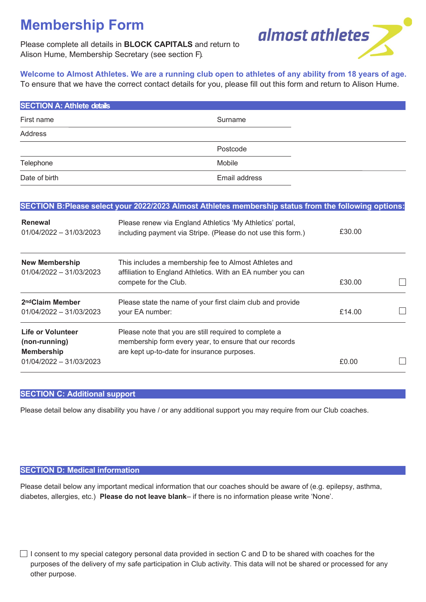# **Membership Form**

Please complete all details in **BLOCK CAPITALS** and return to Alison Hume, Membership Secretary (see section F).



**Welcome to Almost Athletes. We are a running club open to athletes of any ability from 18 years of age.** To ensure that we have the correct contact details for you, please fill out this form and return to Alison Hume.

| <b>SECTION A: Athlete details</b> |               |  |
|-----------------------------------|---------------|--|
| First name                        | Surname       |  |
| Address                           |               |  |
|                                   | Postcode      |  |
| Telephone                         | Mobile        |  |
| Date of birth                     | Email address |  |

|                                                                                           | SECTION B:Please select your 2022/2023 Almost Athletes membership status from the following options:                                                           |        |  |
|-------------------------------------------------------------------------------------------|----------------------------------------------------------------------------------------------------------------------------------------------------------------|--------|--|
| <b>Renewal</b><br>$01/04/2022 - 31/03/2023$                                               | Please renew via England Athletics 'My Athletics' portal,<br>including payment via Stripe. (Please do not use this form.)                                      | £30.00 |  |
| <b>New Membership</b><br>$01/04/2022 - 31/03/2023$                                        | This includes a membership fee to Almost Athletes and<br>affiliation to England Athletics. With an EA number you can<br>compete for the Club.                  | £30.00 |  |
| 2 <sup>nd</sup> Claim Member<br>$01/04/2022 - 31/03/2023$                                 | Please state the name of your first claim club and provide<br>your EA number:                                                                                  | £14.00 |  |
| <b>Life or Volunteer</b><br>(non-running)<br><b>Membership</b><br>01/04/2022 - 31/03/2023 | Please note that you are still required to complete a<br>membership form every year, to ensure that our records<br>are kept up-to-date for insurance purposes. | £0.00  |  |

# **SECTION C: Additional support**

Please detail below any disability you have / or any additional support you may require from our Club coaches.

### **SECTION D: Medical information**

Please detail below any important medical information that our coaches should be aware of (e.g. epilepsy, asthma, diabetes, allergies, etc.) **Please do not leave blank**– if there is no information please write 'None'.

 $\Box$  I consent to my special category personal data provided in section C and D to be shared with coaches for the purposes of the delivery of my safe participation in Club activity. This data will not be shared or processed for any other purpose.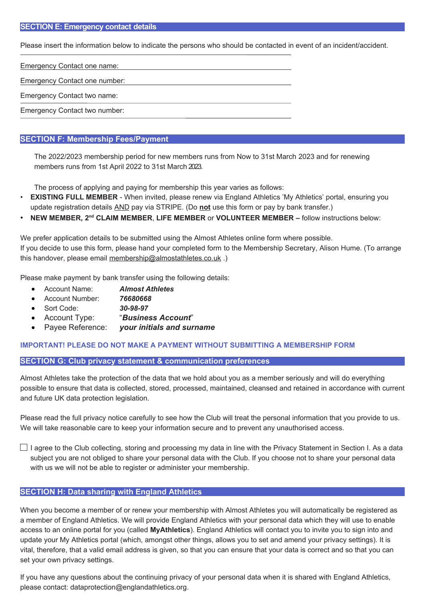#### **SECTION E: Emergency contact details**

Please insert the information below to indicate the persons who should be contacted in event of an incident/accident.

Emergency Contact one name:

Emergency Contact one number:

Emergency Contact two name:

Emergency Contact two number:

# **SECTION F: Membership Fees/Payment**

The 2022/2023 membership period for new members runs from Now to 31st March 2023 and for renewing members runs from 1st April 2022 to 31st March 2023.

The process of applying and paying for membership this year varies as follows:

- **EXISTING FULL MEMBER** When invited, please renew via England Athletics 'My Athletics' portal, ensuring you update registration details AND pay via STRIPE. (Do **not** use this form or pay by bank transfer.)
- **NEW MEMBER, 2<sup>nd</sup> CLAIM MEMBER, LIFE MEMBER or VOLUNTEER MEMBER follow instructions below:**

We prefer application details to be submitted using the Almost Athletes online form where possible. If you decide to use this form, please hand your completed form to the Membership Secretary, Alison Hume. (To arrange this handover, please email [membership@almostathletes.co.uk](mailto:membership@almostathletes.co.uk) .)

Please make payment by bank transfer using the following details:

- Account Name: *Almost Athletes*
- Account Number: *76680668*
- Sort Code: *30-98-97*
- Account Type: "*Business Account*"
- Payee Reference: *your initials and surname*

#### **IMPORTANT! PLEASE DO NOT MAKE A PAYMENT WITHOUT SUBMITTING A MEMBERSHIP FORM**

#### **SECTION G: Club privacy statement & communication preferences**

Almost Athletes take the protection of the data that we hold about you as a member seriously and will do everything possible to ensure that data is collected, stored, processed, maintained, cleansed and retained in accordance with current and future UK data protection legislation.

Please read the full privacy notice carefully to see how the Club will treat the personal information that you provide to us. We will take reasonable care to keep your information secure and to prevent any unauthorised access.

 $\Box$  I agree to the Club collecting, storing and processing my data in line with the Privacy Statement in Section I. As a data subject you are not obliged to share your personal data with the Club. If you choose not to share your personal data with us we will not be able to register or administer your membership.

# **SECTION H: Data sharing with England Athletics**

When you become a member of or renew your membership with Almost Athletes you will automatically be registered as a member of England Athletics. We will provide England Athletics with your personal data which they will use to enable access to an online portal for you (called **MyAthletics**). England Athletics will contact you to invite you to sign into and update your My Athletics portal (which, amongst other things, allows you to set and amend your privacy settings). It is vital, therefore, that a valid email address is given, so that you can ensure that your data is correct and so that you can set your own privacy settings.

If you have any questions about the continuing privacy of your personal data when it is shared with England Athletics, please contact: dataprotection@englandathletics.org.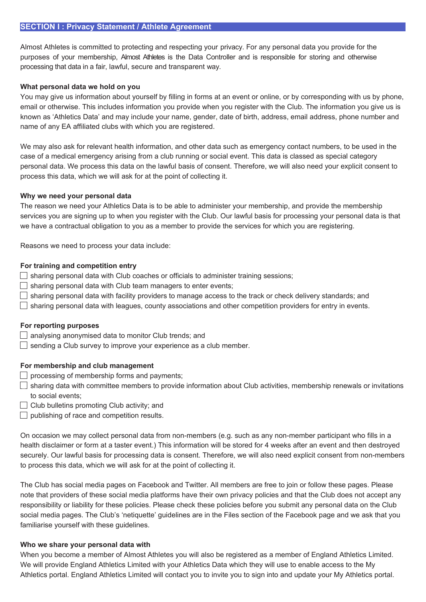#### **SECTION I : Privacy Statement / Athlete Agreement**

Almost Athletes is committed to protecting and respecting your privacy. For any personal data you provide for the purposes of your membership, Almost Athletes is the Data Controller and is responsible for storing and otherwise processing that data in a fair, lawful, secure and transparent way.

#### **What personal data we hold on you**

You may give us information about yourself by filling in forms at an event or online, or by corresponding with us by phone, email or otherwise. This includes information you provide when you register with the Club. The information you give us is known as 'Athletics Data' and may include your name, gender, date of birth, address, email address, phone number and name of any EA affiliated clubs with which you are registered.

We may also ask for relevant health information, and other data such as emergency contact numbers, to be used in the case of a medical emergency arising from a club running or social event. This data is classed as special category personal data. We process this data on the lawful basis of consent. Therefore, we will also need your explicit consent to process this data, which we will ask for at the point of collecting it.

#### **Why we need your personal data**

The reason we need your Athletics Data is to be able to administer your membership, and provide the membership services you are signing up to when you register with the Club. Our lawful basis for processing your personal data is that we have a contractual obligation to you as a member to provide the services for which you are registering.

Reasons we need to process your data include:

#### **For training and competition entry**

- $\Box$  sharing personal data with Club coaches or officials to administer training sessions;
- $\Box$  sharing personal data with Club team managers to enter events;
- $\Box$  sharing personal data with facility providers to manage access to the track or check delivery standards; and
- $\Box$  sharing personal data with leagues, county associations and other competition providers for entry in events.

#### **For reporting purposes**

- $\Box$  analysing anonymised data to monitor Club trends; and
- $\Box$  sending a Club survey to improve your experience as a club member.

#### **For membership and club management**

- $\Box$  processing of membership forms and payments;
- $\Box$  sharing data with committee members to provide information about Club activities, membership renewals or invitations to social events;
- $\Box$  Club bulletins promoting Club activity; and
- $\Box$  publishing of race and competition results.

On occasion we may collect personal data from non-members (e.g. such as any non-member participant who fills in a health disclaimer or form at a taster event.) This information will be stored for 4 weeks after an event and then destroyed securely. Our lawful basis for processing data is consent. Therefore, we will also need explicit consent from non-members to process this data, which we will ask for at the point of collecting it.

The Club has social media pages on Facebook and Twitter. All members are free to join or follow these pages. Please note that providers of these social media platforms have their own privacy policies and that the Club does not accept any responsibility or liability for these policies. Please check these policies before you submit any personal data on the Club social media pages. The Club's 'netiquette' guidelines are in the Files section of the Facebook page and we ask that you familiarise yourself with these guidelines.

#### **Who we share your personal data with**

When you become a member of Almost Athletes you will also be registered as a member of England Athletics Limited. We will provide England Athletics Limited with your Athletics Data which they will use to enable access to the My Athletics portal. England Athletics Limited will contact you to invite you to sign into and update your My Athletics portal.